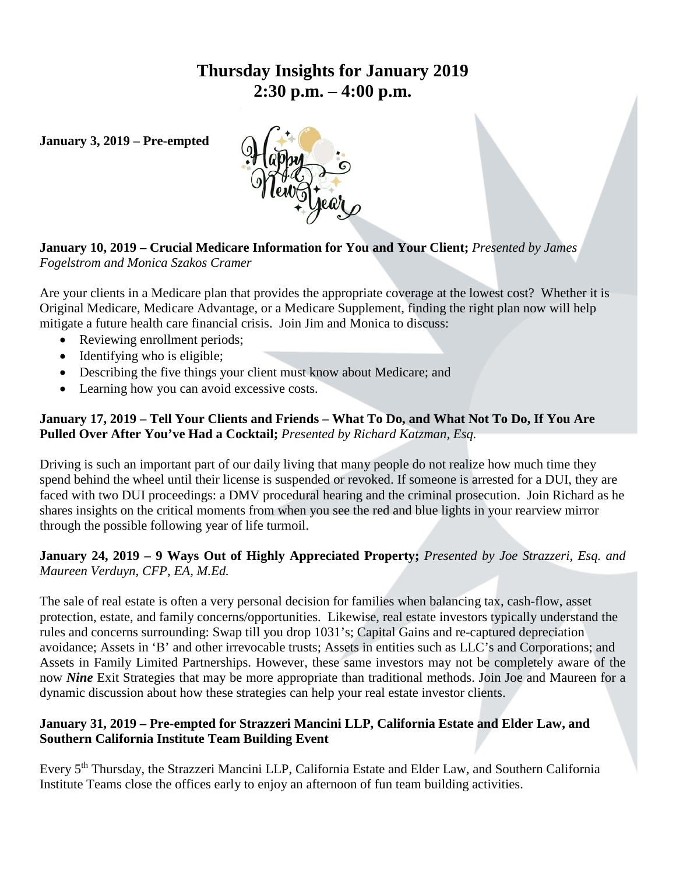# **Thursday Insights for January 2019 2:30 p.m. – 4:00 p.m.**

**January 3, 2019 – Pre-empted**



# **January 10, 2019 – Crucial Medicare Information for You and Your Client;** *Presented by James Fogelstrom and Monica Szakos Cramer*

Are your clients in a Medicare plan that provides the appropriate coverage at the lowest cost? Whether it is Original Medicare, Medicare Advantage, or a Medicare Supplement, finding the right plan now will help mitigate a future health care financial crisis. Join Jim and Monica to discuss:

- Reviewing enrollment periods;
- Identifying who is eligible;
- Describing the five things your client must know about Medicare; and
- Learning how you can avoid excessive costs.

### **January 17, 2019 – Tell Your Clients and Friends – What To Do, and What Not To Do, If You Are Pulled Over After You've Had a Cocktail;** *Presented by Richard Katzman, Esq.*

Driving is such an important part of our daily living that many people do not realize how much time they spend behind the wheel until their license is suspended or revoked. If someone is arrested for a DUI, they are faced with two DUI proceedings: a DMV procedural hearing and the criminal prosecution. Join Richard as he shares insights on the critical moments from when you see the red and blue lights in your rearview mirror through the possible following year of life turmoil.

### **January 24, 2019 – 9 Ways Out of Highly Appreciated Property;** *Presented by Joe Strazzeri, Esq. and Maureen Verduyn, CFP, EA, M.Ed.*

The sale of real estate is often a very personal decision for families when balancing tax, cash-flow, asset protection, estate, and family concerns/opportunities. Likewise, real estate investors typically understand the rules and concerns surrounding: Swap till you drop 1031's; Capital Gains and re-captured depreciation avoidance; Assets in 'B' and other irrevocable trusts; Assets in entities such as LLC's and Corporations; and Assets in Family Limited Partnerships. However, these same investors may not be completely aware of the now *Nine* Exit Strategies that may be more appropriate than traditional methods. Join Joe and Maureen for a dynamic discussion about how these strategies can help your real estate investor clients.

#### **January 31, 2019 – Pre-empted for Strazzeri Mancini LLP, California Estate and Elder Law, and Southern California Institute Team Building Event**

Every 5<sup>th</sup> Thursday, the Strazzeri Mancini LLP, California Estate and Elder Law, and Southern California Institute Teams close the offices early to enjoy an afternoon of fun team building activities.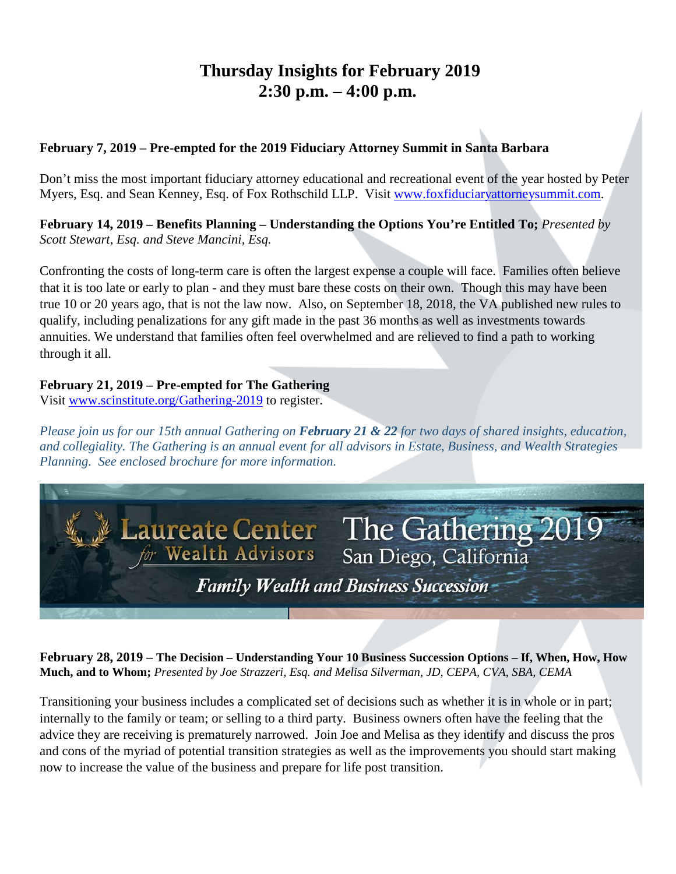# **Thursday Insights for February 2019 2:30 p.m. – 4:00 p.m.**

### **February 7, 2019 – Pre-empted for the 2019 Fiduciary Attorney Summit in Santa Barbara**

Don't miss the most important fiduciary attorney educational and recreational event of the year hosted by Peter Myers, Esq. and Sean Kenney, Esq. of Fox Rothschild LLP. Visit [www.foxfiduciaryattorneysummit.com.](http://www.foxfiduciaryattorneysummit.com/)

**February 14, 2019 – Benefits Planning – Understanding the Options You're Entitled To;** *Presented by Scott Stewart, Esq. and Steve Mancini, Esq.* 

Confronting the costs of long-term care is often the largest expense a couple will face. Families often believe that it is too late or early to plan - and they must bare these costs on their own. Though this may have been true 10 or 20 years ago, that is not the law now. Also, on September 18, 2018, the VA published new rules to qualify, including penalizations for any gift made in the past 36 months as well as investments towards annuities. We understand that families often feel overwhelmed and are relieved to find a path to working through it all.

## **February 21, 2019 – Pre-empted for The Gathering**

Visit [www.scinstitute.org/Gathering-2019](http://www.scinstitute.org/Gathering-2019) to register.

*Please join us for our 15th annual Gathering on February 21 & 22 for two days of shared insights, educa*ti*on, and collegiality. The Gathering is an annual event for all advisors in Estate, Business, and Wealth Strategies Planning. See enclosed brochure for more information.*



**February 28, 2019 – The Decision – Understanding Your 10 Business Succession Options – If, When, How, How Much, and to Whom;** *Presented by Joe Strazzeri, Esq. and Melisa Silverman, JD, CEPA, CVA, SBA, CEMA*

Transitioning your business includes a complicated set of decisions such as whether it is in whole or in part; internally to the family or team; or selling to a third party. Business owners often have the feeling that the advice they are receiving is prematurely narrowed. Join Joe and Melisa as they identify and discuss the pros and cons of the myriad of potential transition strategies as well as the improvements you should start making now to increase the value of the business and prepare for life post transition.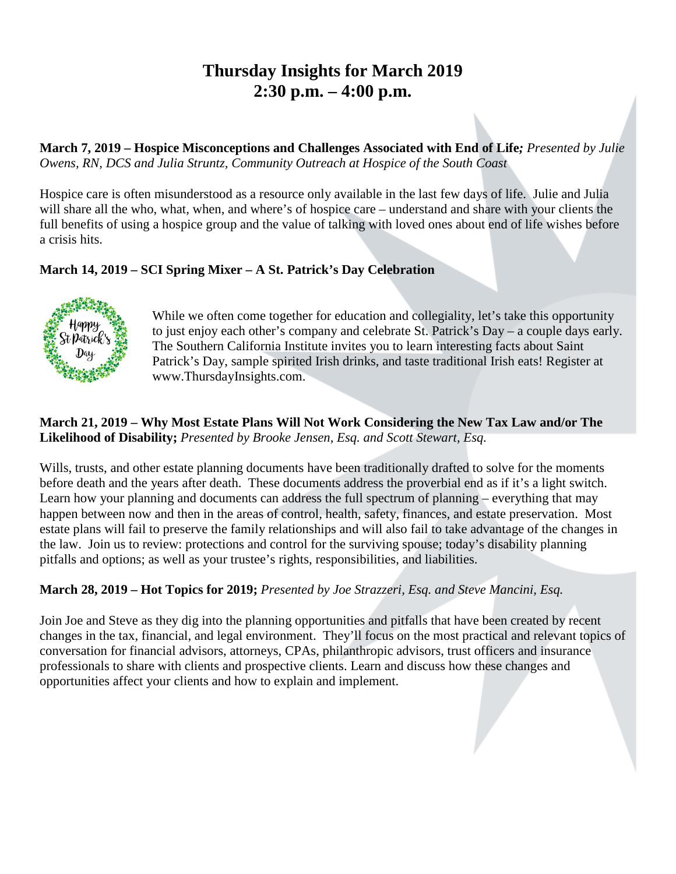# **Thursday Insights for March 2019 2:30 p.m. – 4:00 p.m.**

**March 7, 2019 – Hospice Misconceptions and Challenges Associated with End of Life***; Presented by Julie Owens, RN, DCS and Julia Struntz, Community Outreach at Hospice of the South Coast*

Hospice care is often misunderstood as a resource only available in the last few days of life. Julie and Julia will share all the who, what, when, and where's of hospice care – understand and share with your clients the full benefits of using a hospice group and the value of talking with loved ones about end of life wishes before a crisis hits.

## **March 14, 2019 – SCI Spring Mixer – A St. Patrick's Day Celebration**



While we often come together for education and collegiality, let's take this opportunity to just enjoy each other's company and celebrate St. Patrick's Day – a couple days early. The Southern California Institute invites you to learn interesting facts about Saint Patrick's Day, sample spirited Irish drinks, and taste traditional Irish eats! Register at www.ThursdayInsights.com.

#### **March 21, 2019 – Why Most Estate Plans Will Not Work Considering the New Tax Law and/or The Likelihood of Disability;** *Presented by Brooke Jensen, Esq. and Scott Stewart, Esq.*

Wills, trusts, and other estate planning documents have been traditionally drafted to solve for the moments before death and the years after death. These documents address the proverbial end as if it's a light switch. Learn how your planning and documents can address the full spectrum of planning – everything that may happen between now and then in the areas of control, health, safety, finances, and estate preservation. Most estate plans will fail to preserve the family relationships and will also fail to take advantage of the changes in the law. Join us to review: protections and control for the surviving spouse; today's disability planning pitfalls and options; as well as your trustee's rights, responsibilities, and liabilities.

## **March 28, 2019 – Hot Topics for 2019;** *Presented by Joe Strazzeri, Esq. and Steve Mancini, Esq.*

Join Joe and Steve as they dig into the planning opportunities and pitfalls that have been created by recent changes in the tax, financial, and legal environment. They'll focus on the most practical and relevant topics of conversation for financial advisors, attorneys, CPAs, philanthropic advisors, trust officers and insurance professionals to share with clients and prospective clients. Learn and discuss how these changes and opportunities affect your clients and how to explain and implement.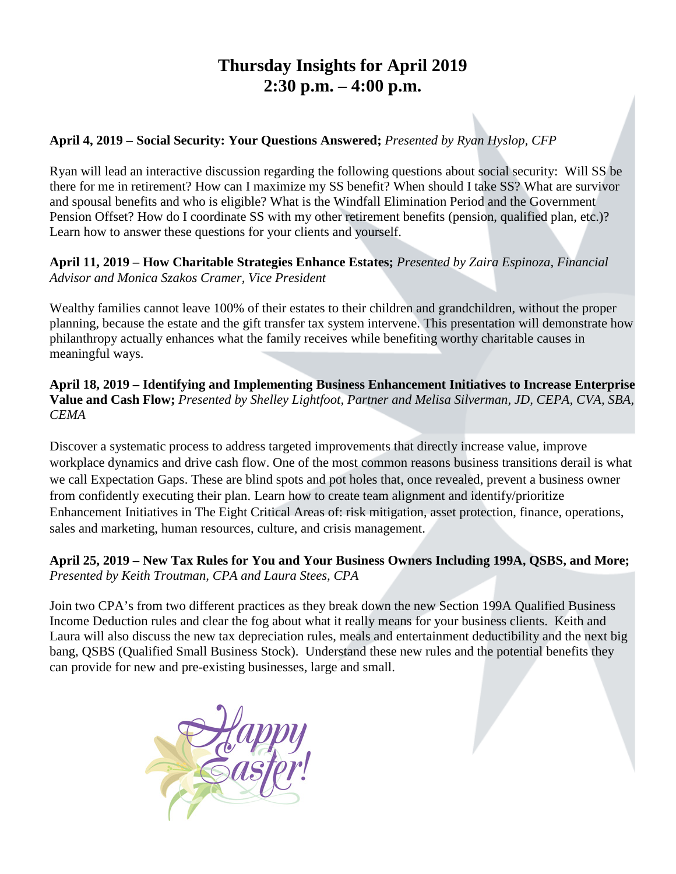# **Thursday Insights for April 2019 2:30 p.m. – 4:00 p.m.**

### **April 4, 2019 – Social Security: Your Questions Answered;** *Presented by Ryan Hyslop, CFP*

Ryan will lead an interactive discussion regarding the following questions about social security: Will SS be there for me in retirement? How can I maximize my SS benefit? When should I take SS? What are survivor and spousal benefits and who is eligible? What is the Windfall Elimination Period and the Government Pension Offset? How do I coordinate SS with my other retirement benefits (pension, qualified plan, etc.)? Learn how to answer these questions for your clients and yourself.

### **April 11, 2019 – How Charitable Strategies Enhance Estates;** *Presented by Zaira Espinoza, Financial Advisor and Monica Szakos Cramer, Vice President*

Wealthy families cannot leave 100% of their estates to their children and grandchildren, without the proper planning, because the estate and the gift transfer tax system intervene. This presentation will demonstrate how philanthropy actually enhances what the family receives while benefiting worthy charitable causes in meaningful ways.

**April 18, 2019 – Identifying and Implementing Business Enhancement Initiatives to Increase Enterprise Value and Cash Flow;** *Presented by Shelley Lightfoot, Partner and Melisa Silverman, JD, CEPA, CVA, SBA, CEMA*

Discover a systematic process to address targeted improvements that directly increase value, improve workplace dynamics and drive cash flow. One of the most common reasons business transitions derail is what we call Expectation Gaps. These are blind spots and pot holes that, once revealed, prevent a business owner from confidently executing their plan. Learn how to create team alignment and identify/prioritize Enhancement Initiatives in The Eight Critical Areas of: risk mitigation, asset protection, finance, operations, sales and marketing, human resources, culture, and crisis management.

## **April 25, 2019 – New Tax Rules for You and Your Business Owners Including 199A, QSBS, and More;** *Presented by Keith Troutman, CPA and Laura Stees, CPA*

Join two CPA's from two different practices as they break down the new Section 199A Qualified Business Income Deduction rules and clear the fog about what it really means for your business clients. Keith and Laura will also discuss the new tax depreciation rules, meals and entertainment deductibility and the next big bang, QSBS (Qualified Small Business Stock). Understand these new rules and the potential benefits they can provide for new and pre-existing businesses, large and small.

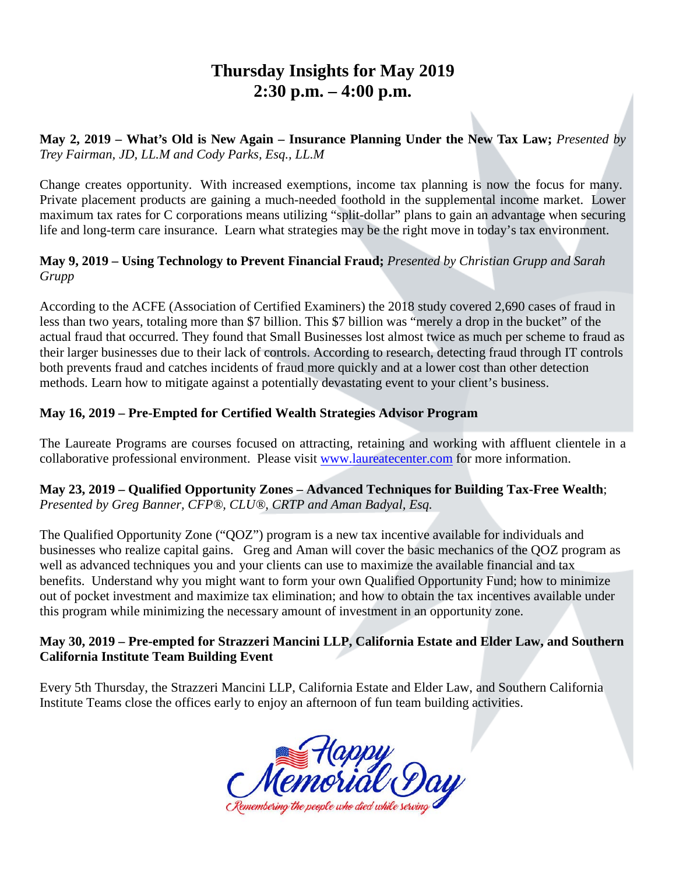# **Thursday Insights for May 2019 2:30 p.m. – 4:00 p.m.**

**May 2, 2019 – What's Old is New Again – Insurance Planning Under the New Tax Law;** *Presented by Trey Fairman, JD, LL.M and Cody Parks, Esq., LL.M*

Change creates opportunity. With increased exemptions, income tax planning is now the focus for many. Private placement products are gaining a much-needed foothold in the supplemental income market. Lower maximum tax rates for C corporations means utilizing "split-dollar" plans to gain an advantage when securing life and long-term care insurance. Learn what strategies may be the right move in today's tax environment.

### **May 9, 2019 – Using Technology to Prevent Financial Fraud;** *Presented by Christian Grupp and Sarah Grupp*

According to the ACFE (Association of Certified Examiners) the 2018 study covered 2,690 cases of fraud in less than two years, totaling more than \$7 billion. This \$7 billion was "merely a drop in the bucket" of the actual fraud that occurred. They found that Small Businesses lost almost twice as much per scheme to fraud as their larger businesses due to their lack of controls. According to research, detecting fraud through IT controls both prevents fraud and catches incidents of fraud more quickly and at a lower cost than other detection methods. Learn how to mitigate against a potentially devastating event to your client's business.

# **May 16, 2019 – Pre-Empted for Certified Wealth Strategies Advisor Program**

The Laureate Programs are courses focused on attracting, retaining and working with affluent clientele in a collaborative professional environment. Please visit [www.laureatecenter.com](http://www.laureatecenter.com/) for more information.

### **May 23, 2019 – Qualified Opportunity Zones – Advanced Techniques for Building Tax-Free Wealth**; *Presented by Greg Banner, CFP®, CLU®, CRTP and Aman Badyal, Esq.*

The Qualified Opportunity Zone ("QOZ") program is a new tax incentive available for individuals and businesses who realize capital gains. Greg and Aman will cover the basic mechanics of the QOZ program as well as advanced techniques you and your clients can use to maximize the available financial and tax benefits. Understand why you might want to form your own Qualified Opportunity Fund; how to minimize out of pocket investment and maximize tax elimination; and how to obtain the tax incentives available under this program while minimizing the necessary amount of investment in an opportunity zone.

### **May 30, 2019 – Pre-empted for Strazzeri Mancini LLP, California Estate and Elder Law, and Southern California Institute Team Building Event**

Every 5th Thursday, the Strazzeri Mancini LLP, California Estate and Elder Law, and Southern California Institute Teams close the offices early to enjoy an afternoon of fun team building activities.

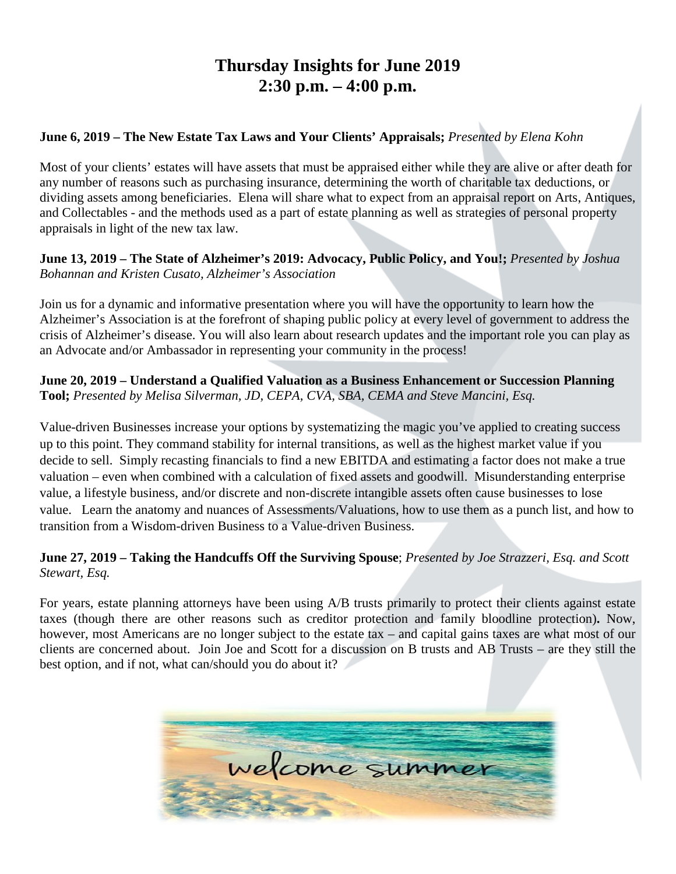# **Thursday Insights for June 2019 2:30 p.m. – 4:00 p.m.**

## **June 6, 2019 – The New Estate Tax Laws and Your Clients' Appraisals;** *Presented by Elena Kohn*

Most of your clients' estates will have assets that must be appraised either while they are alive or after death for any number of reasons such as purchasing insurance, determining the worth of charitable tax deductions, or dividing assets among beneficiaries. Elena will share what to expect from an appraisal report on Arts, Antiques, and Collectables - and the methods used as a part of estate planning as well as strategies of personal property appraisals in light of the new tax law.

**June 13, 2019 – The State of Alzheimer's 2019: Advocacy, Public Policy, and You!;** *Presented by Joshua Bohannan and Kristen Cusato, Alzheimer's Association*

Join us for a dynamic and informative presentation where you will have the opportunity to learn how the Alzheimer's Association is at the forefront of shaping public policy at every level of government to address the crisis of Alzheimer's disease. You will also learn about research updates and the important role you can play as an Advocate and/or Ambassador in representing your community in the process!

**June 20, 2019 – Understand a Qualified Valuation as a Business Enhancement or Succession Planning Tool;** *Presented by Melisa Silverman, JD, CEPA, CVA, SBA, CEMA and Steve Mancini, Esq.*

Value-driven Businesses increase your options by systematizing the magic you've applied to creating success up to this point. They command stability for internal transitions, as well as the highest market value if you decide to sell. Simply recasting financials to find a new EBITDA and estimating a factor does not make a true valuation – even when combined with a calculation of fixed assets and goodwill. Misunderstanding enterprise value, a lifestyle business, and/or discrete and non-discrete intangible assets often cause businesses to lose value. Learn the anatomy and nuances of Assessments/Valuations, how to use them as a punch list, and how to transition from a Wisdom-driven Business to a Value-driven Business.

### **June 27, 2019 – Taking the Handcuffs Off the Surviving Spouse**; *Presented by Joe Strazzeri, Esq. and Scott Stewart, Esq.*

For years, estate planning attorneys have been using A/B trusts primarily to protect their clients against estate taxes (though there are other reasons such as creditor protection and family bloodline protection)**.** Now, however, most Americans are no longer subject to the estate tax – and capital gains taxes are what most of our clients are concerned about. Join Joe and Scott for a discussion on B trusts and AB Trusts – are they still the best option, and if not, what can/should you do about it?

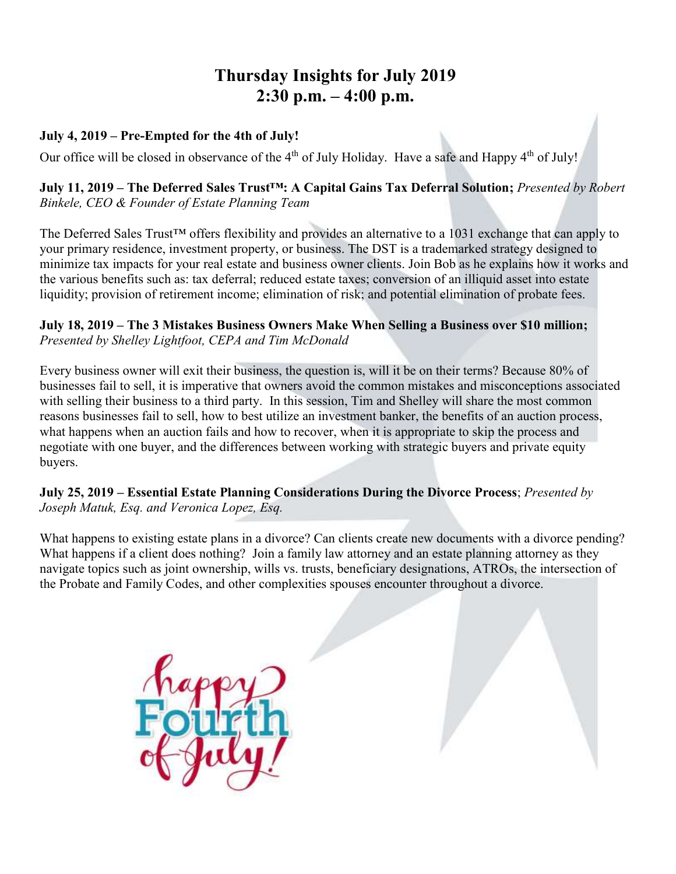# **Thursday Insights for July 2019 2:30 p.m. – 4:00 p.m.**

### **July 4, 2019 – Pre-Empted for the 4th of July!**

Our office will be closed in observance of the 4<sup>th</sup> of July Holiday. Have a safe and Happy 4<sup>th</sup> of July!

#### **July 11, 2019 – The Deferred Sales Trust™: A Capital Gains Tax Deferral Solution;** *Presented by Robert Binkele, CEO & Founder of Estate Planning Team*

The Deferred Sales Trust™ offers flexibility and provides an alternative to a 1031 exchange that can apply to your primary residence, investment property, or business. The DST is a trademarked strategy designed to minimize tax impacts for your real estate and business owner clients. Join Bob as he explains how it works and the various benefits such as: tax deferral; reduced estate taxes; conversion of an illiquid asset into estate liquidity; provision of retirement income; elimination of risk; and potential elimination of probate fees.

#### **July 18, 2019 – The 3 Mistakes Business Owners Make When Selling a Business over \$10 million;**  *Presented by Shelley Lightfoot, CEPA and Tim McDonald*

Every business owner will exit their business, the question is, will it be on their terms? Because 80% of businesses fail to sell, it is imperative that owners avoid the common mistakes and misconceptions associated with selling their business to a third party. In this session, Tim and Shelley will share the most common reasons businesses fail to sell, how to best utilize an investment banker, the benefits of an auction process, what happens when an auction fails and how to recover, when it is appropriate to skip the process and negotiate with one buyer, and the differences between working with strategic buyers and private equity buyers.

### **July 25, 2019 – Essential Estate Planning Considerations During the Divorce Process**; *Presented by Joseph Matuk, Esq. and Veronica Lopez, Esq.*

What happens to existing estate plans in a divorce? Can clients create new documents with a divorce pending? What happens if a client does nothing? Join a family law attorney and an estate planning attorney as they navigate topics such as joint ownership, wills vs. trusts, beneficiary designations, ATROs, the intersection of the Probate and Family Codes, and other complexities spouses encounter throughout a divorce.

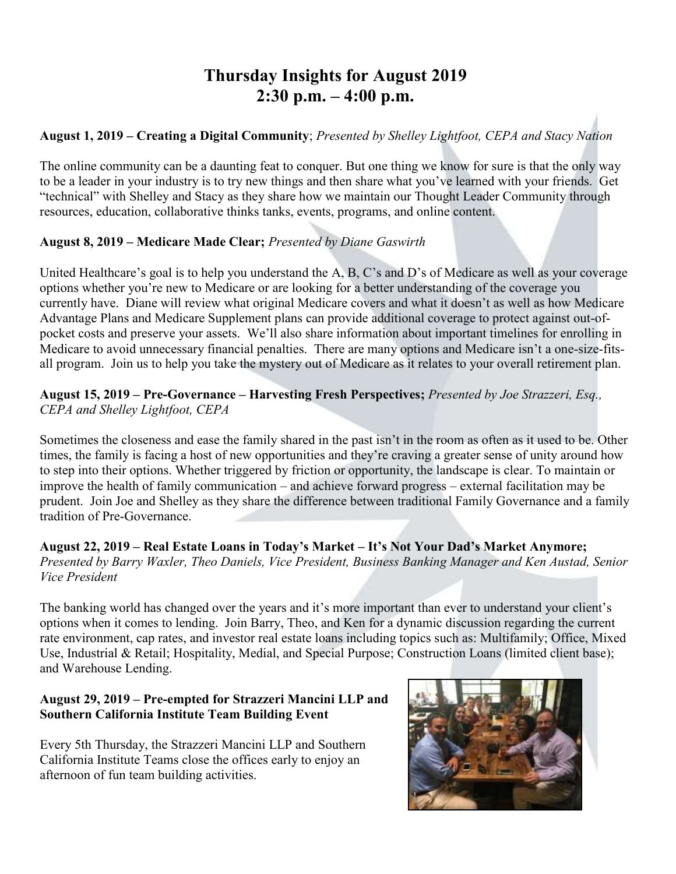# **Thursday Insights for August 2019 2:30 p.m. – 4:00 p.m.**

# **August 1, 2019 – Creating a Digital Community**; *Presented by Shelley Lightfoot, CEPA and Stacy Nation*

The online community can be a daunting feat to conquer. But one thing we know for sure is that the only way to be a leader in your industry is to try new things and then share what you've learned with your friends. Get "technical" with Shelley and Stacy as they share how we maintain our Thought Leader Community through resources, education, collaborative thinks tanks, events, programs, and online content.

## **August 8, 2019 – Medicare Made Clear;** *Presented by Diane Gaswirth*

United Healthcare's goal is to help you understand the A, B, C's and D's of Medicare as well as your coverage options whether you're new to Medicare or are looking for a better understanding of the coverage you currently have. Diane will review what original Medicare covers and what it doesn't as well as how Medicare Advantage Plans and Medicare Supplement plans can provide additional coverage to protect against out-ofpocket costs and preserve your assets. We'll also share information about important timelines for enrolling in Medicare to avoid unnecessary financial penalties. There are many options and Medicare isn't a one-size-fitsall program. Join us to help you take the mystery out of Medicare as it relates to your overall retirement plan.

**August 15, 2019 – Pre-Governance – Harvesting Fresh Perspectives;** *Presented by Joe Strazzeri, Esq., CEPA and Shelley Lightfoot, CEPA*

Sometimes the closeness and ease the family shared in the past isn't in the room as often as it used to be. Other times, the family is facing a host of new opportunities and they're craving a greater sense of unity around how to step into their options. Whether triggered by friction or opportunity, the landscape is clear. To maintain or improve the health of family communication – and achieve forward progress – external facilitation may be prudent. Join Joe and Shelley as they share the difference between traditional Family Governance and a family tradition of Pre-Governance.

**August 22, 2019 – Real Estate Loans in Today's Market – It's Not Your Dad's Market Anymore;** *Presented by Barry Waxler, Theo Daniels, Vice President, Business Banking Manager and Ken Austad, Senior Vice President*

The banking world has changed over the years and it's more important than ever to understand your client's options when it comes to lending. Join Barry, Theo, and Ken for a dynamic discussion regarding the current rate environment, cap rates, and investor real estate loans including topics such as: Multifamily; Office, Mixed Use, Industrial & Retail; Hospitality, Medial, and Special Purpose; Construction Loans (limited client base); and Warehouse Lending.

### **August 29, 2019 – Pre-empted for Strazzeri Mancini LLP and Southern California Institute Team Building Event**

Every 5th Thursday, the Strazzeri Mancini LLP and Southern California Institute Teams close the offices early to enjoy an afternoon of fun team building activities.

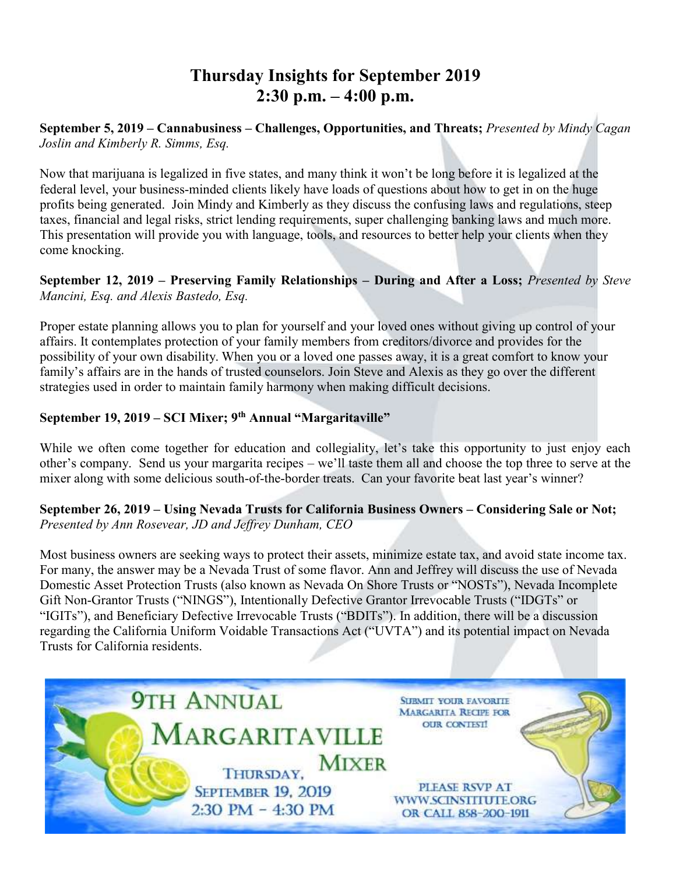# **Thursday Insights for September 2019 2:30 p.m. – 4:00 p.m.**

**September 5, 2019 – Cannabusiness – Challenges, Opportunities, and Threats;** *Presented by Mindy Cagan Joslin and Kimberly R. Simms, Esq.*

Now that marijuana is legalized in five states, and many think it won't be long before it is legalized at the federal level, your business-minded clients likely have loads of questions about how to get in on the huge profits being generated. Join Mindy and Kimberly as they discuss the confusing laws and regulations, steep taxes, financial and legal risks, strict lending requirements, super challenging banking laws and much more. This presentation will provide you with language, tools, and resources to better help your clients when they come knocking.

**September 12, 2019 – Preserving Family Relationships – During and After a Loss;** *Presented by Steve Mancini, Esq. and Alexis Bastedo, Esq.*

Proper estate planning allows you to plan for yourself and your loved ones without giving up control of your affairs. It contemplates protection of your family members from creditors/divorce and provides for the possibility of your own disability. When you or a loved one passes away, it is a great comfort to know your family's affairs are in the hands of trusted counselors. Join Steve and Alexis as they go over the different strategies used in order to maintain family harmony when making difficult decisions.

# **September 19, 2019 – SCI Mixer; 9th Annual "Margaritaville"**

While we often come together for education and collegiality, let's take this opportunity to just enjoy each other's company. Send us your margarita recipes – we'll taste them all and choose the top three to serve at the mixer along with some delicious south-of-the-border treats. Can your favorite beat last year's winner?

## **September 26, 2019 – Using Nevada Trusts for California Business Owners – Considering Sale or Not;** *Presented by Ann Rosevear, JD and Jeffrey Dunham, CEO*

Most business owners are seeking ways to protect their assets, minimize estate tax, and avoid state income tax. For many, the answer may be a Nevada Trust of some flavor. Ann and Jeffrey will discuss the use of Nevada Domestic Asset Protection Trusts (also known as Nevada On Shore Trusts or "NOSTs"), Nevada Incomplete Gift Non-Grantor Trusts ("NINGS"), Intentionally Defective Grantor Irrevocable Trusts ("IDGTs" or "IGITs"), and Beneficiary Defective Irrevocable Trusts ("BDITs"). In addition, there will be a discussion regarding the California Uniform Voidable Transactions Act ("UVTA") and its potential impact on Nevada Trusts for California residents.

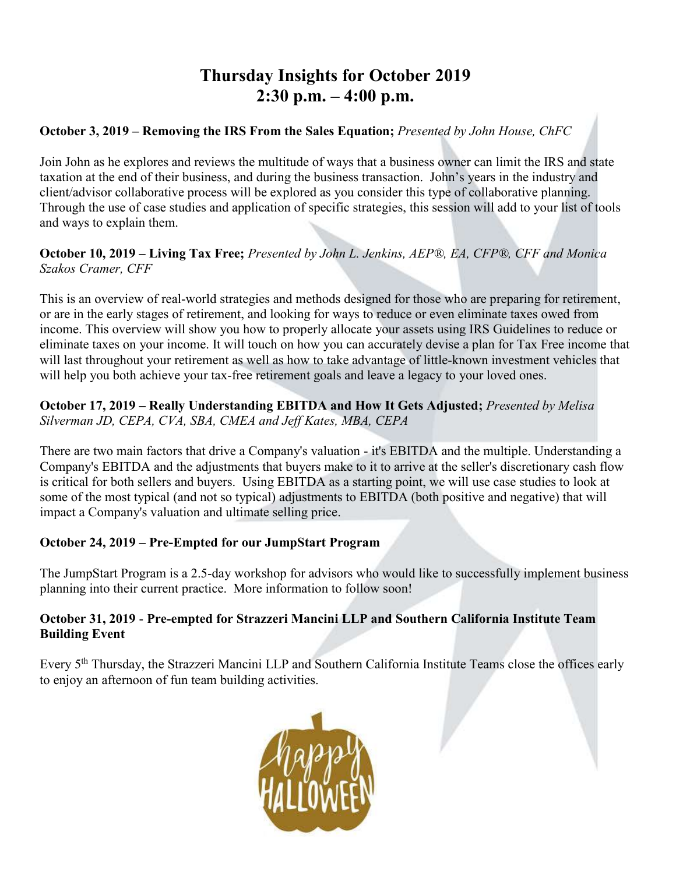# **Thursday Insights for October 2019 2:30 p.m. – 4:00 p.m.**

# **October 3, 2019 – Removing the IRS From the Sales Equation;** *Presented by John House, ChFC*

Join John as he explores and reviews the multitude of ways that a business owner can limit the IRS and state taxation at the end of their business, and during the business transaction. John's years in the industry and client/advisor collaborative process will be explored as you consider this type of collaborative planning. Through the use of case studies and application of specific strategies, this session will add to your list of tools and ways to explain them.

**October 10, 2019 – Living Tax Free;** *Presented by John L. Jenkins, AEP®, EA, CFP®, CFF and Monica Szakos Cramer, CFF*

This is an overview of real-world strategies and methods designed for those who are preparing for retirement, or are in the early stages of retirement, and looking for ways to reduce or even eliminate taxes owed from income. This overview will show you how to properly allocate your assets using IRS Guidelines to reduce or eliminate taxes on your income. It will touch on how you can accurately devise a plan for Tax Free income that will last throughout your retirement as well as how to take advantage of little-known investment vehicles that will help you both achieve your tax-free retirement goals and leave a legacy to your loved ones.

### **October 17, 2019 – Really Understanding EBITDA and How It Gets Adjusted;** *Presented by Melisa Silverman JD, CEPA, CVA, SBA, CMEA and Jeff Kates, MBA, CEPA*

There are two main factors that drive a Company's valuation - it's EBITDA and the multiple. Understanding a Company's EBITDA and the adjustments that buyers make to it to arrive at the seller's discretionary cash flow is critical for both sellers and buyers. Using EBITDA as a starting point, we will use case studies to look at some of the most typical (and not so typical) adjustments to EBITDA (both positive and negative) that will impact a Company's valuation and ultimate selling price.

## **October 24, 2019 – Pre-Empted for our JumpStart Program**

The JumpStart Program is a 2.5-day workshop for advisors who would like to successfully implement business planning into their current practice. More information to follow soon!

### **October 31, 2019** - **Pre-empted for Strazzeri Mancini LLP and Southern California Institute Team Building Event**

Every 5<sup>th</sup> Thursday, the Strazzeri Mancini LLP and Southern California Institute Teams close the offices early to enjoy an afternoon of fun team building activities.